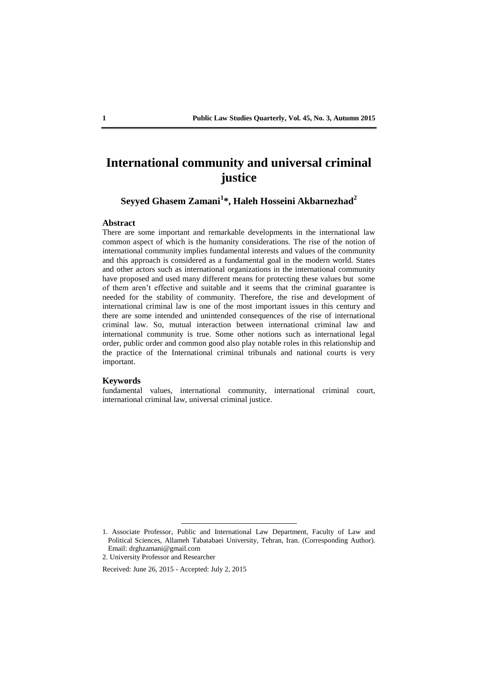# **International community and universal criminal justice**

## **Seyyed Ghasem Zamani<sup>1</sup> \*, Haleh Hosseini Akbarnezhad<sup>2</sup>**

### **Abstract**

There are some important and remarkable developments in the international law common aspect of which is the humanity considerations. The rise of the notion of international community implies fundamental interests and values of the community and this approach is considered as a fundamental goal in the modern world. States and other actors such as international organizations in the international community have proposed and used many different means for protecting these values but some of them aren't effective and suitable and it seems that the criminal guarantee is needed for the stability of community. Therefore, the rise and development of international criminal law is one of the most important issues in this century and there are some intended and unintended consequences of the rise of international criminal law. So, mutual interaction between international criminal law and international community is true. Some other notions such as international legal order, public order and common good also play notable roles in this relationship and the practice of the International criminal tribunals and national courts is very important.

### **Keywords**

fundamental values, international community, international criminal court, international criminal law, universal criminal justice.

2. University Professor and Researcher

Received: June 26, 2015 - Accepted: July 2, 2015

<sup>1.</sup> Associate Professor, Public and International Law Department, Faculty of Law and Political Sciences, Allameh Tabatabaei University, Tehran, Iran. (Corresponding Author). Email: drghzamani@gmail.com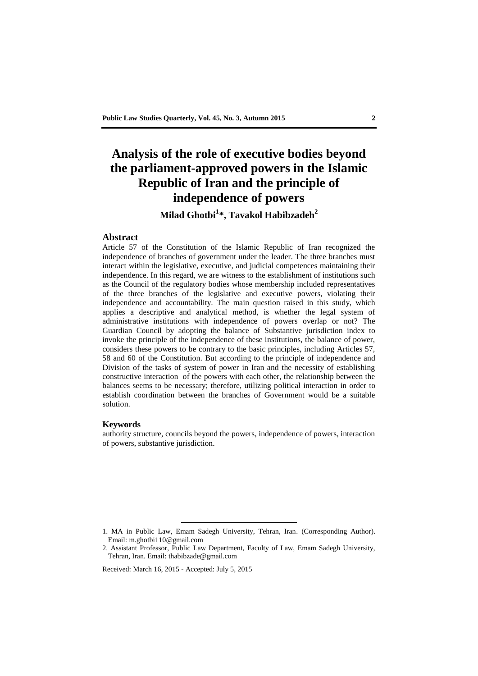# **Analysis of the role of executive bodies beyond the parliament-approved powers in the Islamic Republic of Iran and the principle of independence of powers**

## **Milad Ghotbi<sup>1</sup> \*, Tavakol Habibzadeh<sup>2</sup>**

### **Abstract**

Article 57 of the Constitution of the Islamic Republic of Iran recognized the independence of branches of government under the leader. The three branches must interact within the legislative, executive, and judicial competences maintaining their independence. In this regard, we are witness to the establishment of institutions such as the Council of the regulatory bodies whose membership included representatives of the three branches of the legislative and executive powers, violating their independence and accountability. The main question raised in this study, which applies a descriptive and analytical method, is whether the legal system of administrative institutions with independence of powers overlap or not? The Guardian Council by adopting the balance of Substantive jurisdiction index to invoke the principle of the independence of these institutions, the balance of power, considers these powers to be contrary to the basic principles, including Articles 57, 58 and 60 of the Constitution. But according to the principle of independence and Division of the tasks of system of power in Iran and the necessity of establishing constructive interaction of the powers with each other, the relationship between the balances seems to be necessary; therefore, utilizing political interaction in order to establish coordination between the branches of Government would be a suitable solution.

### **Keywords**

authority structure, councils beyond the powers, independence of powers, interaction of powers, substantive jurisdiction.

Received: March 16, 2015 - Accepted: July 5, 2015

<sup>1.</sup> MA in Public Law, Emam Sadegh University, Tehran, Iran. (Corresponding Author). Email: m.ghotbi110@gmail.com

<sup>2.</sup> Assistant Professor, Public Law Department, Faculty of Law, Emam Sadegh University, Tehran, Iran. Email: thabibzade@gmail.com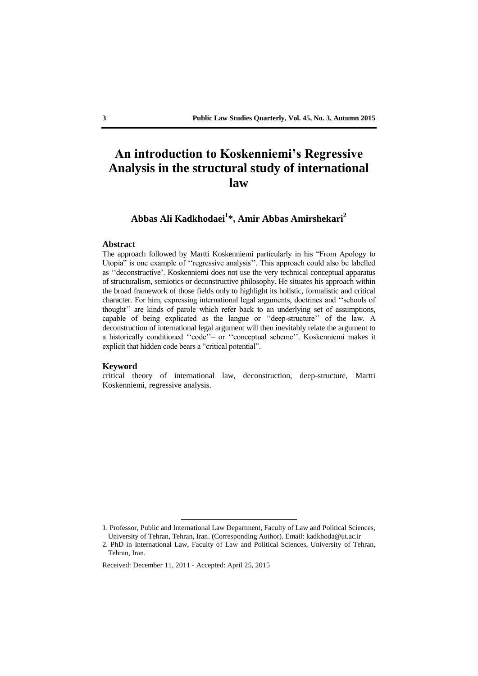# **An introduction to Koskenniemi's Regressive Analysis in the structural study of international law**

## **Abbas Ali Kadkhodaei 1 \*, Amir Abbas Amirshekari<sup>2</sup>**

## **Abstract**

The approach followed by Martti Koskenniemi particularly in his "From Apology to Utopia" is one example of ''regressive analysis''. This approach could also be labelled as ''deconstructive'. Koskenniemi does not use the very technical conceptual apparatus of structuralism, semiotics or deconstructive philosophy. He situates his approach within the broad framework of those fields only to highlight its holistic, formalistic and critical character. For him, expressing international legal arguments, doctrines and ''schools of thought'' are kinds of parole which refer back to an underlying set of assumptions, capable of being explicated as the langue or ''deep-structure'' of the law. A deconstruction of international legal argument will then inevitably relate the argument to a historically conditioned ''code''– or ''conceptual scheme''. Koskenniemi makes it explicit that hidden code bears a "critical potential".

#### **Keyword**

critical theory of international law, deconstruction, deep-structure, Martti Koskenniemi, regressive analysis.

<sup>1.</sup> Professor, Public and International Law Department, Faculty of Law and Political Sciences, University of Tehran, Tehran, Iran. (Corresponding Author). Email: kadkhoda@ut.ac.ir

<sup>2.</sup> PhD in International Law, Faculty of Law and Political Sciences, University of Tehran, Tehran, Iran.

Received: December 11, 2011 - Accepted: April 25, 2015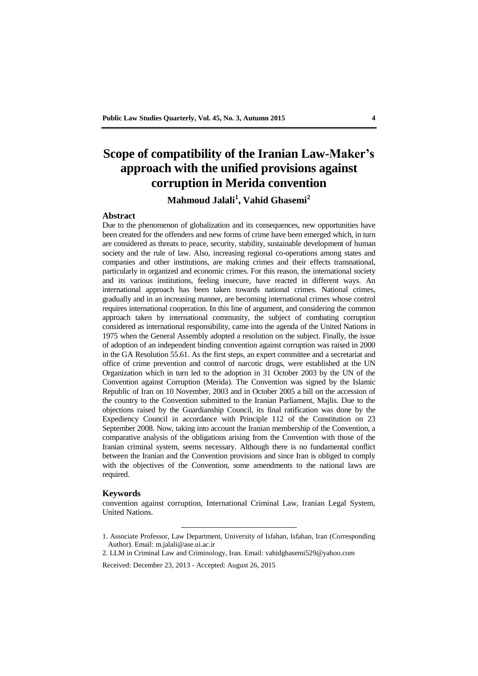# **Scope of compatibility of the Iranian Law-Maker's approach with the unified provisions against corruption in Merida convention**

## **Mahmoud Jalali<sup>1</sup> , Vahid Ghasemi<sup>2</sup>**

### **Abstract**

Due to the phenomenon of globalization and its consequences, new opportunities have been created for the offenders and new forms of crime have been emerged which, in turn are considered as threats to peace, security, stability, sustainable development of human society and the rule of law. Also, increasing regional co-operations among states and companies and other institutions, are making crimes and their effects transnational, particularly in organized and economic crimes. For this reason, the international society and its various institutions, feeling insecure, have reacted in different ways. An international approach has been taken towards national crimes. National crimes, gradually and in an increasing manner, are becoming international crimes whose control requires international cooperation. In this line of argument, and considering the common approach taken by international community, the subject of combating corruption considered as international responsibility, came into the agenda of the United Nations in 1975 when the General Assembly adopted a resolution on the subject. Finally, the issue of adoption of an independent binding convention against corruption was raised in 2000 in the GA Resolution 55.61. As the first steps, an expert committee and a secretariat and office of crime prevention and control of narcotic drugs, were established at the UN Organization which in turn led to the adoption in 31 October 2003 by the UN of the Convention against Corruption (Merida). The Convention was signed by the Islamic Republic of Iran on 10 November, 2003 and in October 2005 a bill on the accession of the country to the Convention submitted to the Iranian Parliament, Majlis. Due to the objections raised by the Guardianship Council, its final ratification was done by the Expediency Council in accordance with Principle 112 of the Constitution on 23 September 2008. Now, taking into account the Iranian membership of the Convention, a comparative analysis of the obligations arising from the Convention with those of the Iranian criminal system, seems necessary. Although there is no fundamental conflict between the Iranian and the Convention provisions and since Iran is obliged to comply with the objectives of the Convention, some amendments to the national laws are required.

#### **Keywords**

convention against corruption, International Criminal Law, Iranian Legal System, United Nations.

<sup>1.</sup> Associate Professor, Law Department, University of Isfahan, Isfahan, Iran (Corresponding Author). Email: m.jalali@ase.ui.ac.ir

<sup>2.</sup> LLM in Criminal Law and Criminology, Iran. Email: vahidghasemi529@yahoo.com

Received: December 23, 2013 - Accepted: August 26, 2015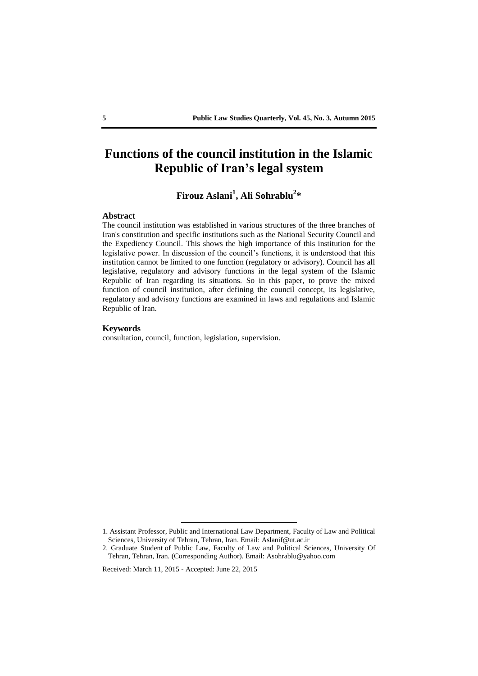# **Functions of the council institution in the Islamic Republic of Iran's legal system**

# **Firouz Aslani<sup>1</sup> , Ali Sohrablu<sup>2</sup> \***

### **Abstract**

The council institution was established in various structures of the three branches of Iran's constitution and specific institutions such as the National Security Council and the Expediency Council. This shows the high importance of this institution for the legislative power. In discussion of the council's functions, it is understood that this institution cannot be limited to one function (regulatory or advisory). Council has all legislative, regulatory and advisory functions in the legal system of the Islamic Republic of Iran regarding its situations. So in this paper, to prove the mixed function of council institution, after defining the council concept, its legislative, regulatory and advisory functions are examined in laws and regulations and Islamic Republic of Iran.

### **Keywords**

consultation, council, function, legislation, supervision.

Received: March 11, 2015 - Accepted: June 22, 2015

<sup>1.</sup> Assistant Professor, Public and International Law Department, Faculty of Law and Political Sciences, University of Tehran, Tehran, Iran. Email: Aslanif@ut.ac.ir

<sup>2.</sup> Graduate Student of Public Law, Faculty of Law and Political Sciences, University Of Tehran, Tehran, Iran. (Corresponding Author). Email: Asohrablu@yahoo.com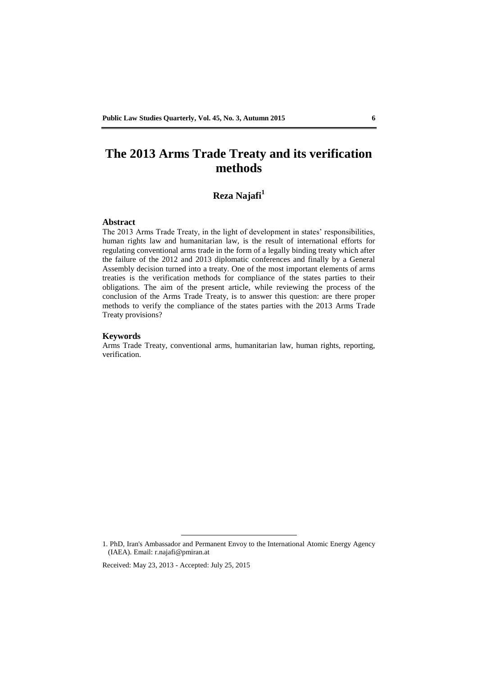# **The 2013 Arms Trade Treaty and its verification methods**

# **Reza Najafi<sup>1</sup>**

## **Abstract**

The 2013 Arms Trade Treaty, in the light of development in states' responsibilities, human rights law and humanitarian law, is the result of international efforts for regulating conventional arms trade in the form of a legally binding treaty which after the failure of the 2012 and 2013 diplomatic conferences and finally by a General Assembly decision turned into a treaty. One of the most important elements of arms treaties is the verification methods for compliance of the states parties to their obligations. The aim of the present article, while reviewing the process of the conclusion of the Arms Trade Treaty, is to answer this question: are there proper methods to verify the compliance of the states parties with the 2013 Arms Trade Treaty provisions?

### **Keywords**

Arms Trade Treaty, conventional arms, humanitarian law, human rights, reporting, verification.

1. PhD, Iran's Ambassador and Permanent Envoy to the International Atomic Energy Agency (IAEA). Email: r.najafi@pmiran.at

Received: May 23, 2013 - Accepted: July 25, 2015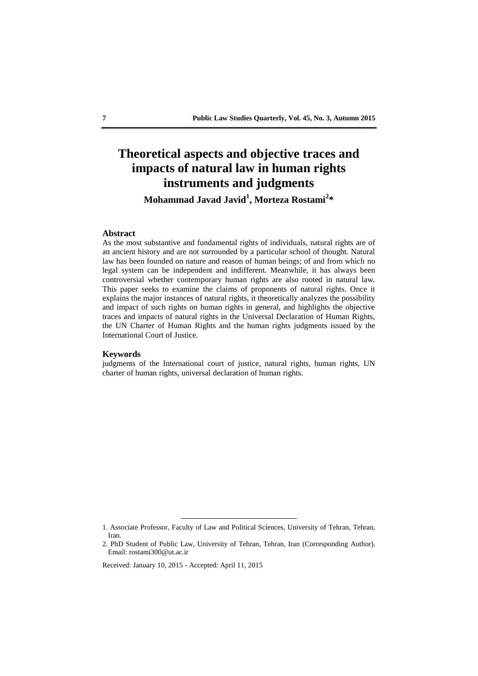# **Theoretical aspects and objective traces and impacts of natural law in human rights instruments and judgments Mohammad Javad Javid<sup>1</sup> , Morteza Rostami<sup>2</sup> \***

### **Abstract**

As the most substantive and fundamental rights of individuals, natural rights are of an ancient history and are not surrounded by a particular school of thought. Natural law has been founded on nature and reason of human beings; of and from which no legal system can be independent and indifferent. Meanwhile, it has always been controversial whether contemporary human rights are also rooted in natural law. This paper seeks to examine the claims of proponents of natural rights. Once it explains the major instances of natural rights, it theoretically analyzes the possibility and impact of such rights on human rights in general, and highlights the objective traces and impacts of natural rights in the Universal Declaration of Human Rights, the UN Charter of Human Rights and the human rights judgments issued by the International Court of Justice.

#### **Keywords**

judgments of the International court of justice, natural rights, human rights, UN charter of human rights, universal declaration of human rights.

<sup>1.</sup> Associate Professor, Faculty of Law and Political Sciences, University of Tehran, Tehran, Iran.

<sup>2.</sup> PhD Student of Public Law, University of Tehran, Tehran, Iran (Corresponding Author). Email: rostami300@ut.ac.ir

Received: January 10, 2015 - Accepted: April 11, 2015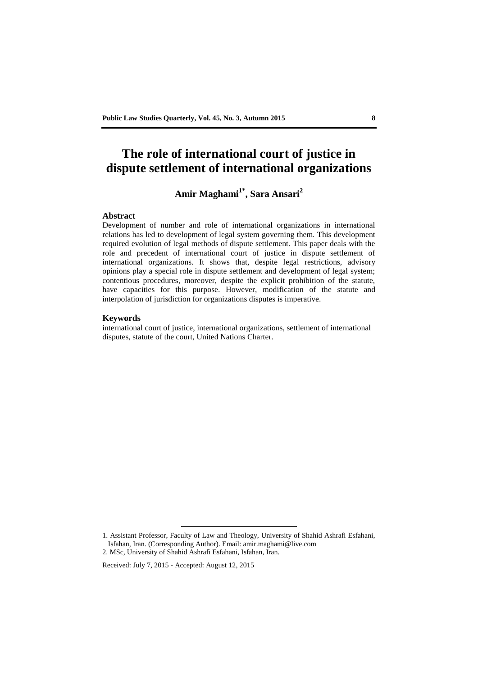# **The role of international court of justice in dispute settlement of international organizations**

# **Amir Maghami1\* , Sara Ansari<sup>2</sup>**

### **Abstract**

Development of number and role of international organizations in international relations has led to development of legal system governing them. This development required evolution of legal methods of dispute settlement. This paper deals with the role and precedent of international court of justice in dispute settlement of international organizations. It shows that, despite legal restrictions, advisory opinions play a special role in dispute settlement and development of legal system; contentious procedures, moreover, despite the explicit prohibition of the statute, have capacities for this purpose. However, modification of the statute and interpolation of jurisdiction for organizations disputes is imperative.

#### **Keywords**

international court of justice, international organizations, settlement of international disputes, statute of the court, United Nations Charter.

<sup>1.</sup> Assistant Professor, Faculty of Law and Theology, University of Shahid Ashrafi Esfahani, Isfahan, Iran. (Corresponding Author). Email: amir.maghami@live.com

<sup>2.</sup> MSc, University of Shahid Ashrafi Esfahani, Isfahan, Iran.

Received: July 7, 2015 - Accepted: August 12, 2015